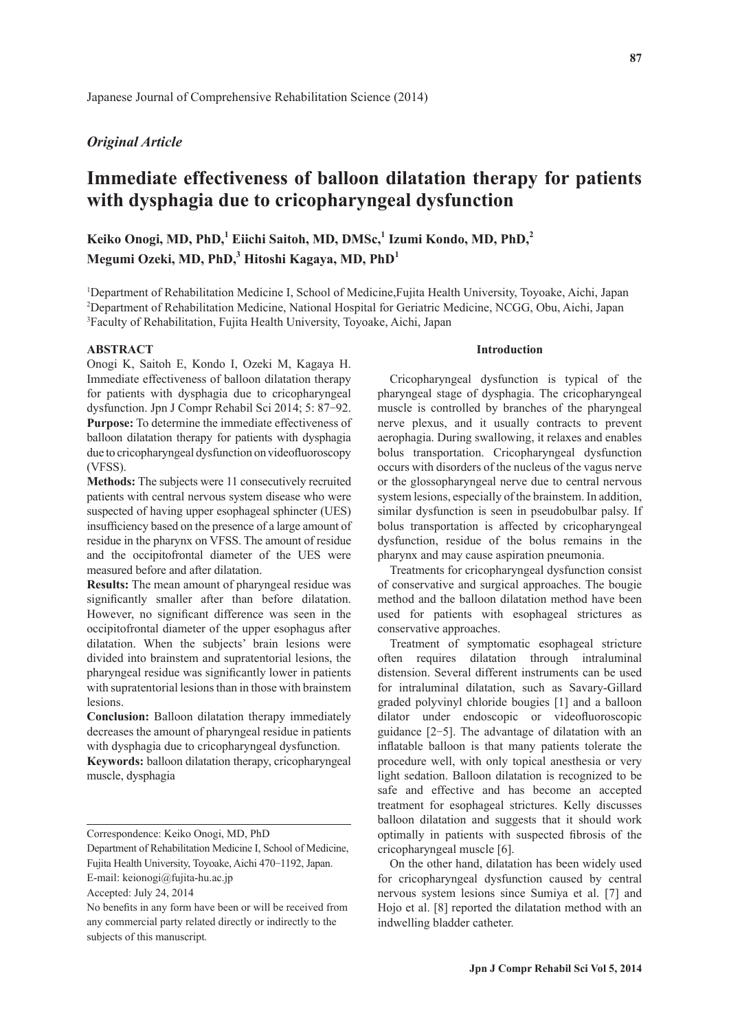# *Original Article*

# **Immediate effectiveness of balloon dilatation therapy for patients with dysphagia due to cricopharyngeal dysfunction**

**Keiko Onogi, MD, PhD,1 Eiichi Saitoh, MD, DMSc,1 Izumi Kondo, MD, PhD,<sup>2</sup>** Megumi Ozeki, MD, PhD,<sup>3</sup> Hitoshi Kagaya, MD, PhD<sup>1</sup>

<sup>1</sup>Department of Rehabilitation Medicine I, School of Medicine, Fujita Health University, Toyoake, Aichi, Japan <sup>2</sup>Department of Rehabilitation Medicine, National Hospital for Geriatric Medicine, NCGG, Obu, Aichi, Japan <sup>3</sup>Faculty of Rehabilitation, Fujita Health University, Toyoake, Aichi, Japan

#### **ABSTRACT**

Onogi K, Saitoh E, Kondo I, Ozeki M, Kagaya H. Immediate effectiveness of balloon dilatation therapy for patients with dysphagia due to cricopharyngeal dysfunction. Jpn J Compr Rehabil Sci 2014; 5: 87-92. **Purpose:** To determine the immediate effectiveness of balloon dilatation therapy for patients with dysphagia due to cricopharyngeal dysfunction on videofluoroscopy (VFSS).

**Methods:** The subjects were 11 consecutively recruited patients with central nervous system disease who were suspected of having upper esophageal sphincter (UES) insufficiency based on the presence of a large amount of residue in the pharynx on VFSS. The amount of residue and the occipitofrontal diameter of the UES were measured before and after dilatation.

**Results:** The mean amount of pharyngeal residue was significantly smaller after than before dilatation. However, no significant difference was seen in the occipitofrontal diameter of the upper esophagus after dilatation. When the subjects' brain lesions were divided into brainstem and supratentorial lesions, the pharyngeal residue was significantly lower in patients with supratentorial lesions than in those with brainstem lesions.

**Conclusion:** Balloon dilatation therapy immediately decreases the amount of pharyngeal residue in patients with dysphagia due to cricopharyngeal dysfunction.

**Keywords:** balloon dilatation therapy, cricopharyngeal muscle, dysphagia

Department of Rehabilitation Medicine I, School of Medicine, Fujita Health University, Toyoake, Aichi 470-1192, Japan. E-mail: keionogi@fujita-hu.ac.jp

#### **Introduction**

Cricopharyngeal dysfunction is typical of the pharyngeal stage of dysphagia. The cricopharyngeal muscle is controlled by branches of the pharyngeal nerve plexus, and it usually contracts to prevent aerophagia. During swallowing, it relaxes and enables bolus transportation. Cricopharyngeal dysfunction occurs with disorders of the nucleus of the vagus nerve or the glossopharyngeal nerve due to central nervous system lesions, especially of the brainstem. In addition, similar dysfunction is seen in pseudobulbar palsy. If bolus transportation is affected by cricopharyngeal dysfunction, residue of the bolus remains in the pharynx and may cause aspiration pneumonia.

Treatments for cricopharyngeal dysfunction consist of conservative and surgical approaches. The bougie method and the balloon dilatation method have been used for patients with esophageal strictures as conservative approaches.

Treatment of symptomatic esophageal stricture often requires dilatation through intraluminal distension. Several different instruments can be used for intraluminal dilatation, such as Savary-Gillard graded polyvinyl chloride bougies [1] and a balloon dilator under endoscopic or videofluoroscopic guidance [2-5]. The advantage of dilatation with an inflatable balloon is that many patients tolerate the procedure well, with only topical anesthesia or very light sedation. Balloon dilatation is recognized to be safe and effective and has become an accepted treatment for esophageal strictures. Kelly discusses balloon dilatation and suggests that it should work optimally in patients with suspected fibrosis of the cricopharyngeal muscle [6].

On the other hand, dilatation has been widely used for cricopharyngeal dysfunction caused by central nervous system lesions since Sumiya et al. [7] and Hojo et al. [8] reported the dilatation method with an indwelling bladder catheter.

Correspondence: Keiko Onogi, MD, PhD

Accepted: July 24, 2014

No benefits in any form have been or will be received from any commercial party related directly or indirectly to the subjects of this manuscript.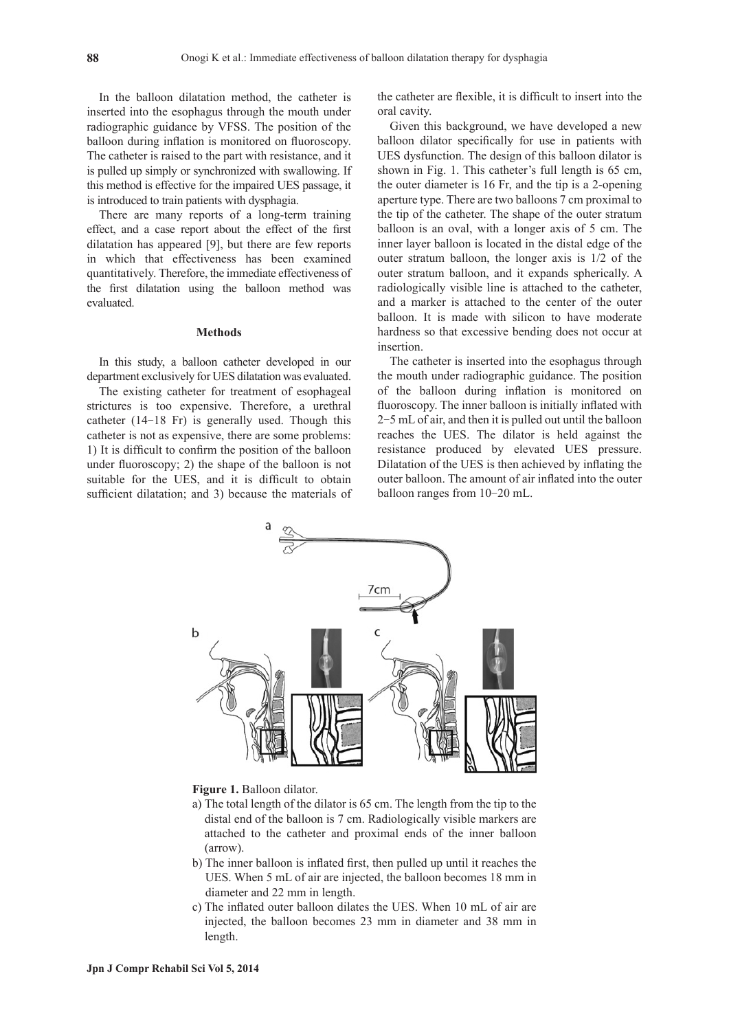In the balloon dilatation method, the catheter is inserted into the esophagus through the mouth under radiographic guidance by VFSS. The position of the balloon during inflation is monitored on fluoroscopy. The catheter is raised to the part with resistance, and it is pulled up simply or synchronized with swallowing. If this method is effective for the impaired UES passage, it is introduced to train patients with dysphagia.

There are many reports of a long-term training effect, and a case report about the effect of the first dilatation has appeared [9], but there are few reports in which that effectiveness has been examined quantitatively. Therefore, the immediate effectiveness of the first dilatation using the balloon method was evaluated.

#### **Methods**

In this study, a balloon catheter developed in our department exclusively for UES dilatation was evaluated.

The existing catheter for treatment of esophageal strictures is too expensive. Therefore, a urethral catheter (14-18 Fr) is generally used. Though this catheter is not as expensive, there are some problems: 1) It is difficult to confirm the position of the balloon under fluoroscopy; 2) the shape of the balloon is not suitable for the UES, and it is difficult to obtain sufficient dilatation; and 3) because the materials of the catheter are flexible, it is difficult to insert into the oral cavity.

Given this background, we have developed a new balloon dilator specifically for use in patients with UES dysfunction. The design of this balloon dilator is shown in Fig. 1. This catheter's full length is 65 cm, the outer diameter is 16 Fr, and the tip is a 2-opening aperture type. There are two balloons 7 cm proximal to the tip of the catheter. The shape of the outer stratum balloon is an oval, with a longer axis of 5 cm. The inner layer balloon is located in the distal edge of the outer stratum balloon, the longer axis is 1/2 of the outer stratum balloon, and it expands spherically. A radiologically visible line is attached to the catheter, and a marker is attached to the center of the outer balloon. It is made with silicon to have moderate hardness so that excessive bending does not occur at insertion.

The catheter is inserted into the esophagus through the mouth under radiographic guidance. The position of the balloon during inflation is monitored on fluoroscopy. The inner balloon is initially inflated with 2-5 mL of air, and then it is pulled out until the balloon reaches the UES. The dilator is held against the resistance produced by elevated UES pressure. Dilatation of the UES is then achieved by inflating the outer balloon. The amount of air inflated into the outer balloon ranges from 10-20 mL.



#### **Figure 1.** Balloon dilator.

- a) The total length of the dilator is 65 cm. The length from the tip to the distal end of the balloon is 7 cm. Radiologically visible markers are attached to the catheter and proximal ends of the inner balloon (arrow).
- b) The inner balloon is inflated first, then pulled up until it reaches the UES. When 5 mL of air are injected, the balloon becomes 18 mm in diameter and 22 mm in length.
- c) The inflated outer balloon dilates the UES. When 10 mL of air are injected, the balloon becomes 23 mm in diameter and 38 mm in length.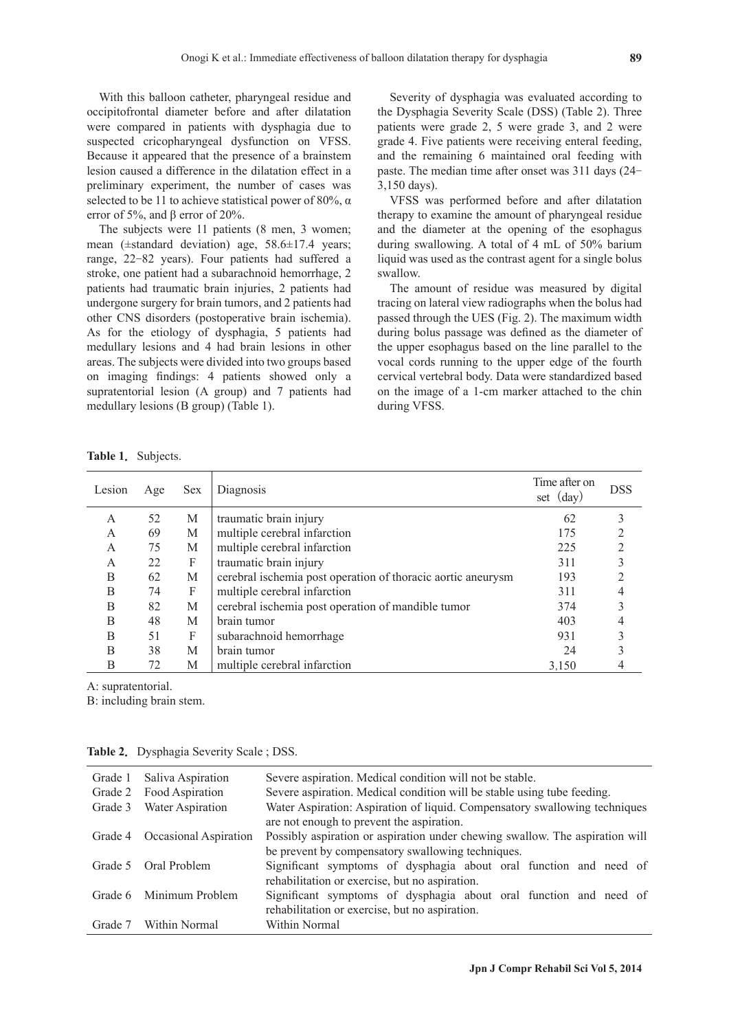With this balloon catheter, pharyngeal residue and occipitofrontal diameter before and after dilatation were compared in patients with dysphagia due to suspected cricopharyngeal dysfunction on VFSS. Because it appeared that the presence of a brainstem lesion caused a difference in the dilatation effect in a preliminary experiment, the number of cases was selected to be 11 to achieve statistical power of 80%,  $\alpha$ error of 5%, and β error of 20%.

The subjects were 11 patients (8 men, 3 women; mean ( $\pm$ standard deviation) age, 58.6 $\pm$ 17.4 years; range, 22-82 years). Four patients had suffered a stroke, one patient had a subarachnoid hemorrhage, 2 patients had traumatic brain injuries, 2 patients had undergone surgery for brain tumors, and 2 patients had other CNS disorders (postoperative brain ischemia). As for the etiology of dysphagia, 5 patients had medullary lesions and 4 had brain lesions in other areas. The subjects were divided into two groups based on imaging findings: 4 patients showed only a supratentorial lesion (A group) and 7 patients had medullary lesions (B group) (Table 1).

Severity of dysphagia was evaluated according to the Dysphagia Severity Scale (DSS) (Table 2). Three patients were grade 2, 5 were grade 3, and 2 were grade 4. Five patients were receiving enteral feeding, and the remaining 6 maintained oral feeding with paste. The median time after onset was 311 days (24- 3,150 days).

VFSS was performed before and after dilatation therapy to examine the amount of pharyngeal residue and the diameter at the opening of the esophagus during swallowing. A total of 4 mL of 50% barium liquid was used as the contrast agent for a single bolus swallow.

The amount of residue was measured by digital tracing on lateral view radiographs when the bolus had passed through the UES (Fig. 2). The maximum width during bolus passage was defined as the diameter of the upper esophagus based on the line parallel to the vocal cords running to the upper edge of the fourth cervical vertebral body. Data were standardized based on the image of a 1-cm marker attached to the chin during VFSS.

Table 1. Subjects.

| Lesion | Age | <b>Sex</b> | Diagnosis                                                    | Time after on<br>set $(\text{day})$ | <b>DSS</b> |
|--------|-----|------------|--------------------------------------------------------------|-------------------------------------|------------|
| A      | 52  | М          | traumatic brain injury                                       | 62                                  |            |
| А      | 69  | M          | multiple cerebral infarction                                 | 175                                 |            |
| A      | 75  | М          | multiple cerebral infarction                                 | 225                                 | 2          |
| A      | 22  | F          | traumatic brain injury                                       | 311                                 |            |
| B      | 62  | M          | cerebral ischemia post operation of thoracic aortic aneurysm | 193                                 |            |
| B      | 74  | F          | multiple cerebral infarction                                 | 311                                 |            |
| B      | 82  | M          | cerebral ischemia post operation of mandible tumor           | 374                                 |            |
| B      | 48  | M          | brain tumor                                                  | 403                                 |            |
| B      | 51  | F          | subarachnoid hemorrhage                                      | 931                                 |            |
| B      | 38  | M          | brain tumor                                                  | 24                                  |            |
| B      | 72  | M          | multiple cerebral infarction                                 | 3.150                               |            |

A: supratentorial.

B: including brain stem.

| Grade 1 | Saliva Aspiration             | Severe aspiration. Medical condition will not be stable.                     |
|---------|-------------------------------|------------------------------------------------------------------------------|
| Grade 2 | Food Aspiration               | Severe aspiration. Medical condition will be stable using tube feeding.      |
| Grade 3 | Water Aspiration              | Water Aspiration: Aspiration of liquid. Compensatory swallowing techniques   |
|         |                               | are not enough to prevent the aspiration.                                    |
|         | Grade 4 Occasional Aspiration | Possibly aspiration or aspiration under chewing swallow. The aspiration will |
|         |                               | be prevent by compensatory swallowing techniques.                            |
| Grade 5 | Oral Problem                  | Significant symptoms of dysphagia about oral function and need of            |
|         |                               | rehabilitation or exercise, but no aspiration.                               |
|         | Grade 6 Minimum Problem       | Significant symptoms of dysphagia about oral function and need of            |
|         |                               | rehabilitation or exercise, but no aspiration.                               |
| Grade 7 | Within Normal                 | Within Normal                                                                |

**Table 2.** Dysphagia Severity Scale ; DSS.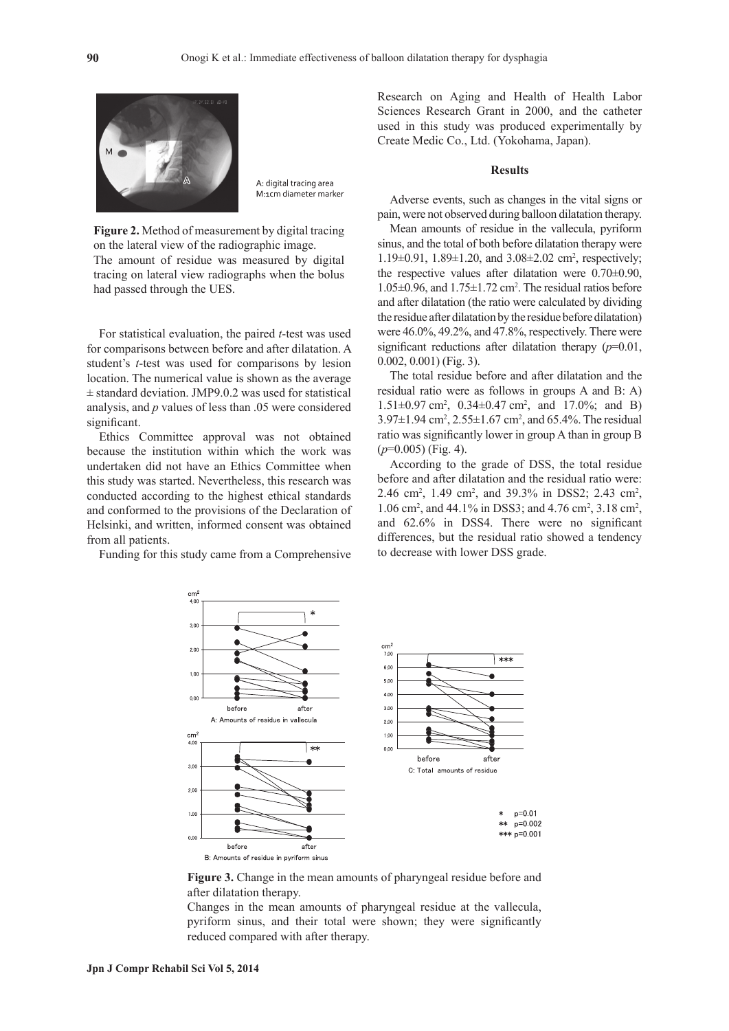

A: digital tracing area M:1cm diameter marker

**Figure 2.** Method of measurement by digital tracing on the lateral view of the radiographic image. The amount of residue was measured by digital tracing on lateral view radiographs when the bolus had passed through the UES.

For statistical evaluation, the paired *t*-test was used for comparisons between before and after dilatation. A student's *t*-test was used for comparisons by lesion location. The numerical value is shown as the average  $\pm$  standard deviation. JMP9.0.2 was used for statistical analysis, and *p* values of less than .05 were considered significant.

Ethics Committee approval was not obtained because the institution within which the work was undertaken did not have an Ethics Committee when this study was started. Nevertheless, this research was conducted according to the highest ethical standards and conformed to the provisions of the Declaration of Helsinki, and written, informed consent was obtained from all patients.

Funding for this study came from a Comprehensive

Research on Aging and Health of Health Labor Sciences Research Grant in 2000, and the catheter used in this study was produced experimentally by Create Medic Co., Ltd. (Yokohama, Japan).

#### **Results**

Adverse events, such as changes in the vital signs or pain, were not observed during balloon dilatation therapy.

Mean amounts of residue in the vallecula, pyriform sinus, and the total of both before dilatation therapy were 1.19±0.91, 1.89±1.20, and 3.08±2.02 cm2 , respectively; the respective values after dilatation were 0.70±0.90,  $1.05\pm0.96$ , and  $1.75\pm1.72$  cm<sup>2</sup>. The residual ratios before and after dilatation (the ratio were calculated by dividing the residue after dilatation by the residue before dilatation) were 46.0%, 49.2%, and 47.8%, respectively. There were significant reductions after dilatation therapy (*p*=0.01, 0.002, 0.001) (Fig. 3).

The total residue before and after dilatation and the residual ratio were as follows in groups A and B: A)  $1.51 \pm 0.97$  cm<sup>2</sup>,  $0.34 \pm 0.47$  cm<sup>2</sup>, and  $17.0\%$ ; and B)  $3.97 \pm 1.94$  cm<sup>2</sup>,  $2.55 \pm 1.67$  cm<sup>2</sup>, and 65.4%. The residual ratio was significantly lower in group A than in group B (*p*=0.005) (Fig. 4).

According to the grade of DSS, the total residue before and after dilatation and the residual ratio were: 2.46 cm<sup>2</sup>, 1.49 cm<sup>2</sup>, and 39.3% in DSS2; 2.43 cm<sup>2</sup>, 1.06 cm<sup>2</sup>, and 44.1% in DSS3; and 4.76 cm<sup>2</sup>, 3.18 cm<sup>2</sup>, and 62.6% in DSS4. There were no significant differences, but the residual ratio showed a tendency to decrease with lower DSS grade.



Figure 3. Change in the mean amounts of pharyngeal residue before and after dilatation therapy.

Changes in the mean amounts of pharyngeal residue at the vallecula, pyriform sinus, and their total were shown; they were significantly reduced compared with after therapy.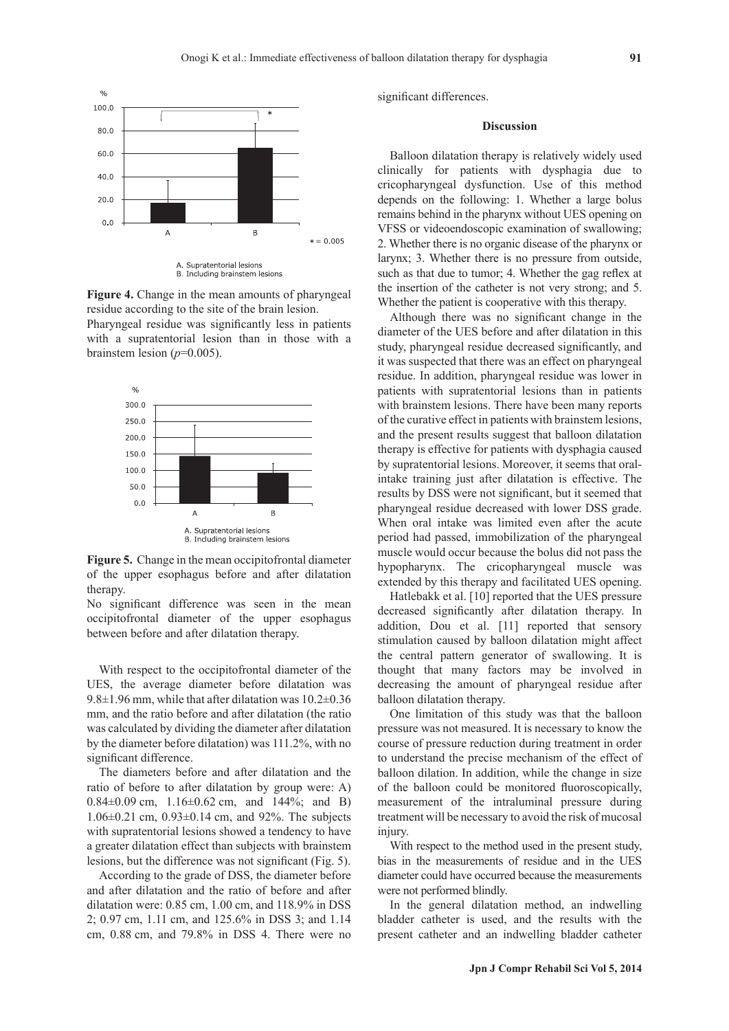

**Figure 4.** Change in the mean amounts of pharyngeal residue according to the site of the brain lesion.

Pharyngeal residue was significantly less in patients with a supratentorial lesion than in those with a brainstem lesion  $(p=0.005)$ .



**Figure 5.** Change in the mean occipitofrontal diameter of the upper esophagus before and after dilatation therapy.

No significant difference was seen in the mean occipitofrontal diameter of the upper esophagus between before and after dilatation therapy.

With respect to the occipitofrontal diameter of the UES, the average diameter before dilatation was 9.8±1.96 mm, while that after dilatation was 10.2±0.36 mm, and the ratio before and after dilatation (the ratio was calculated by dividing the diameter after dilatation by the diameter before dilatation) was 111.2%, with no significant difference.

The diameters before and after dilatation and the ratio of before to after dilatation by group were: A) 0.84±0.09 cm, 1.16±0.62 cm, and 144%; and B)  $1.06\pm0.21$  cm,  $0.93\pm0.14$  cm, and 92%. The subjects with supratentorial lesions showed a tendency to have a greater dilatation effect than subjects with brainstem lesions, but the difference was not significant (Fig. 5).

According to the grade of DSS, the diameter before and after dilatation and the ratio of before and after dilatation were: 0.85 cm, 1.00 cm, and 118.9% in DSS 2; 0.97 cm, 1.11 cm, and 125.6% in DSS 3; and 1.14 cm, 0.88 cm, and 79.8% in DSS 4. There were no significant differences.

#### **Discussion**

Balloon dilatation therapy is relatively widely used clinically for patients with dysphagia due to cricopharyngeal dysfunction. Use of this method depends on the following: 1. Whether a large bolus remains behind in the pharynx without UES opening on VFSS or videoendoscopic examination of swallowing; 2. Whether there is no organic disease of the pharynx or larynx; 3. Whether there is no pressure from outside, such as that due to tumor; 4. Whether the gag reflex at the insertion of the catheter is not very strong; and 5. Whether the patient is cooperative with this therapy.

Although there was no significant change in the diameter of the UES before and after dilatation in this study, pharyngeal residue decreased significantly, and it was suspected that there was an effect on pharyngeal residue. In addition, pharyngeal residue was lower in patients with supratentorial lesions than in patients with brainstem lesions. There have been many reports of the curative effect in patients with brainstem lesions, and the present results suggest that balloon dilatation therapy is effective for patients with dysphagia caused by supratentorial lesions. Moreover, it seems that oralintake training just after dilatation is effective. The results by DSS were not significant, but it seemed that pharyngeal residue decreased with lower DSS grade. When oral intake was limited even after the acute period had passed, immobilization of the pharyngeal muscle would occur because the bolus did not pass the hypopharynx. The cricopharyngeal muscle was extended by this therapy and facilitated UES opening.

Hatlebakk et al. [10] reported that the UES pressure decreased significantly after dilatation therapy. In addition, Dou et al. [11] reported that sensory stimulation caused by balloon dilatation might affect the central pattern generator of swallowing. It is thought that many factors may be involved in decreasing the amount of pharyngeal residue after balloon dilatation therapy.

One limitation of this study was that the balloon pressure was not measured. It is necessary to know the course of pressure reduction during treatment in order to understand the precise mechanism of the effect of balloon dilation. In addition, while the change in size of the balloon could be monitored fluoroscopically, measurement of the intraluminal pressure during treatment will be necessary to avoid the risk of mucosal injury.

With respect to the method used in the present study, bias in the measurements of residue and in the UES diameter could have occurred because the measurements were not performed blindly.

In the general dilatation method, an indwelling bladder catheter is used, and the results with the present catheter and an indwelling bladder catheter